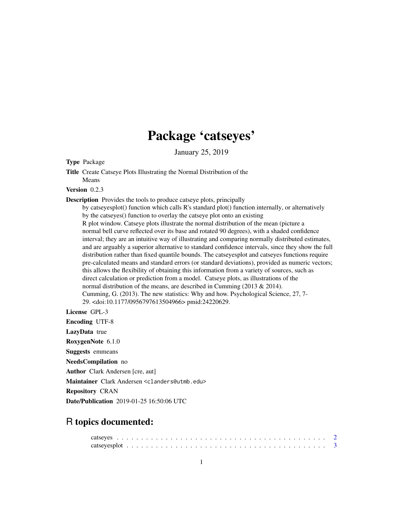# Package 'catseyes'

January 25, 2019

#### Type Package

Title Create Catseye Plots Illustrating the Normal Distribution of the Means

#### Version 0.2.3

Description Provides the tools to produce catseye plots, principally

by catseyesplot() function which calls R's standard plot() function internally, or alternatively by the catseyes() function to overlay the catseye plot onto an existing R plot window. Catseye plots illustrate the normal distribution of the mean (picture a normal bell curve reflected over its base and rotated 90 degrees), with a shaded confidence interval; they are an intuitive way of illustrating and comparing normally distributed estimates, and are arguably a superior alternative to standard confidence intervals, since they show the full distribution rather than fixed quantile bounds. The catseyesplot and catseyes functions require pre-calculated means and standard errors (or standard deviations), provided as numeric vectors; this allows the flexibility of obtaining this information from a variety of sources, such as direct calculation or prediction from a model. Catseye plots, as illustrations of the normal distribution of the means, are described in Cumming (2013 & 2014). Cumming, G. (2013). The new statistics: Why and how. Psychological Science, 27, 7- 29. <doi:10.1177/0956797613504966> pmid:24220629.

License GPL-3

Encoding UTF-8 LazyData true RoxygenNote 6.1.0 Suggests emmeans NeedsCompilation no Author Clark Andersen [cre, aut] Maintainer Clark Andersen <clanders@utmb.edu> Repository CRAN Date/Publication 2019-01-25 16:50:06 UTC

## R topics documented: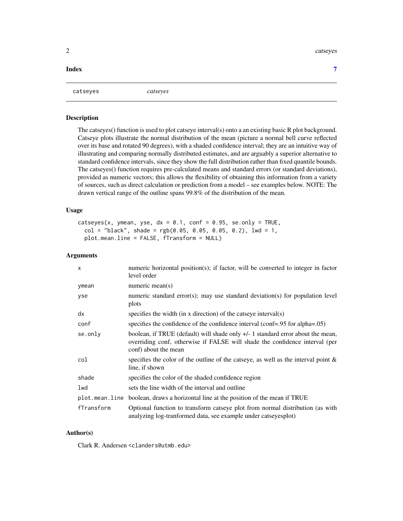#### <span id="page-1-0"></span>2 catseyes and  $\alpha$  catseyes and  $\alpha$  catseyes and  $\alpha$  catseyes and  $\alpha$  catseyes and  $\alpha$

#### **Index** [7](#page-6-0) **7**

```
catseyes catseyes
```
#### Description

The catseyes() function is used to plot catseye interval(s) onto a an existing basic R plot background. Catseye plots illustrate the normal distribution of the mean (picture a normal bell curve reflected over its base and rotated 90 degrees), with a shaded confidence interval; they are an intuitive way of illustrating and comparing normally distributed estimates, and are arguably a superior alternative to standard confidence intervals, since they show the full distribution rather than fixed quantile bounds. The catseyes() function requires pre-calculated means and standard errors (or standard deviations), provided as numeric vectors; this allows the flexibility of obtaining this information from a variety of sources, such as direct calculation or prediction from a model – see examples below. NOTE: The drawn vertical range of the outline spans 99.8% of the distribution of the mean.

#### Usage

```
catseyes(x, ymean, yse, dx = 0.1, conf = 0.95, se.only = TRUE,
  col = "black", shape = rgb(0.05, 0.05, 0.05, 0.2), lwd = 1,plot.mean.line = FALSE, fTransform = NULL)
```
#### Arguments

| $\mathsf{x}$ | numeric horizontal position(s); if factor, will be converted to integer in factor<br>level order                                                                                        |
|--------------|-----------------------------------------------------------------------------------------------------------------------------------------------------------------------------------------|
| ymean        | numeric mean $(s)$                                                                                                                                                                      |
| yse          | numeric standard error(s); may use standard deviation(s) for population level<br>plots                                                                                                  |
| dx           | specifies the width (in x direction) of the catseye interval(s)                                                                                                                         |
| conf         | specifies the confidence of the confidence interval (conf=.95 for alpha=.05)                                                                                                            |
| se.only      | boolean, if TRUE (default) will shade only $+/-1$ standard error about the mean,<br>overriding conf, otherwise if FALSE will shade the confidence interval (per<br>conf) about the mean |
| col          | specifies the color of the outline of the catseye, as well as the interval point $\&$<br>line, if shown                                                                                 |
| shade        | specifies the color of the shaded confidence region                                                                                                                                     |
| lwd          | sets the line width of the interval and outline                                                                                                                                         |
|              | plot mean. line boolean, draws a horizontal line at the position of the mean if TRUE                                                                                                    |
| fTransform   | Optional function to transform catseye plot from normal distribution (as with<br>analyzing log-tranformed data, see example under catseyesplot)                                         |

#### Author(s)

Clark R. Andersen <clanders@utmb.edu>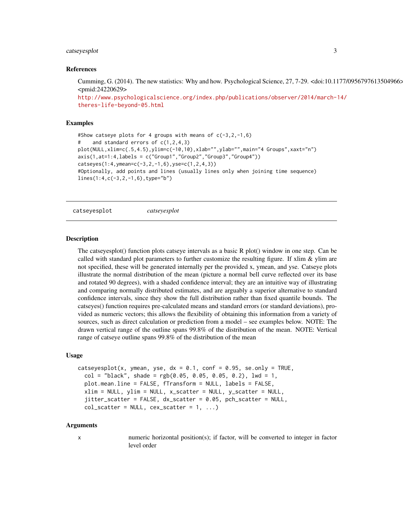#### <span id="page-2-0"></span>catseyesplot 3

#### References

Cumming, G. (2014). The new statistics: Why and how. Psychological Science, 27, 7-29. <doi:10.1177/0956797613504966> <pmid:24220629>

```
http://www.psychologicalscience.org/index.php/publications/observer/2014/march-14/
theres-life-beyond-05.html
```
#### Examples

```
#Show catseye plots for 4 groups with means of c(-3,2,-1,6)# and standard errors of c(1,2,4,3)
plot(NULL,xlim=c(.5,4.5),ylim=c(-10,10),xlab="",ylab="",main="4 Groups",xaxt="n")
axis(1,at=1:4,labels = c("Group1","Group2","Group3","Group4"))
catseyes(1:4,ymean=c(-3,2,-1,6),yse=c(1,2,4,3))
#Optionally, add points and lines (usually lines only when joining time sequence)
lines(1:4,c(-3,2,-1,6),type="b")
```
catseyesplot *catseyesplot*

#### **Description**

The catseyesplot() function plots catseye intervals as a basic R plot() window in one step. Can be called with standard plot parameters to further customize the resulting figure. If xlim  $\&$  ylim are not specified, these will be generated internally per the provided x, ymean, and yse. Catseye plots illustrate the normal distribution of the mean (picture a normal bell curve reflected over its base and rotated 90 degrees), with a shaded confidence interval; they are an intuitive way of illustrating and comparing normally distributed estimates, and are arguably a superior alternative to standard confidence intervals, since they show the full distribution rather than fixed quantile bounds. The catseyes() function requires pre-calculated means and standard errors (or standard deviations), provided as numeric vectors; this allows the flexibility of obtaining this information from a variety of sources, such as direct calculation or prediction from a model – see examples below. NOTE: The drawn vertical range of the outline spans 99.8% of the distribution of the mean. NOTE: Vertical range of catseye outline spans 99.8% of the distribution of the mean

#### Usage

```
catseyesplot(x, ymean, yse, dx = 0.1, conf = 0.95, se.only = TRUE,
  col = "black", share = <math>rgb(0.05, 0.05, 0.05, 0.2), \text{lwd} = 1,plot.mean.line = FALSE, fTransform = NULL, labels = FALSE,
  xlim = NULL, ylim = NULL, x_scenter = NULL,
  jitter_scatter = FALSE, dx_scatter = 0.05, pch_scatter = NULL,
  col\_scatter = NULL, cex\_scatter = 1, ...
```
#### Arguments

x numeric horizontal position(s); if factor, will be converted to integer in factor level order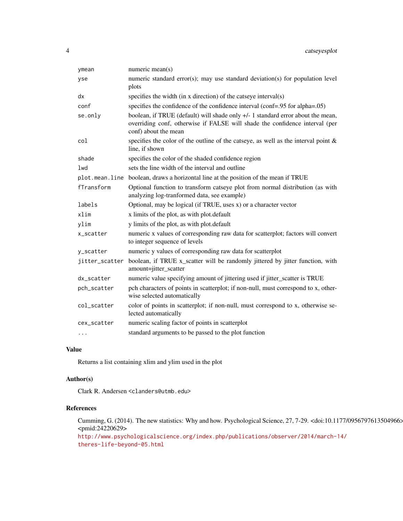| ymean          | numeric mean $(s)$                                                                                                                                                                     |
|----------------|----------------------------------------------------------------------------------------------------------------------------------------------------------------------------------------|
| yse            | numeric standard error(s); may use standard deviation(s) for population level<br>plots                                                                                                 |
| dx             | specifies the width (in x direction) of the catseye interval(s)                                                                                                                        |
| conf           | specifies the confidence of the confidence interval (conf=.95 for alpha=.05)                                                                                                           |
| se.only        | boolean, if TRUE (default) will shade only +/- 1 standard error about the mean,<br>overriding conf, otherwise if FALSE will shade the confidence interval (per<br>conf) about the mean |
| col            | specifies the color of the outline of the catseye, as well as the interval point $\&$<br>line, if shown                                                                                |
| shade          | specifies the color of the shaded confidence region                                                                                                                                    |
| 1wd            | sets the line width of the interval and outline                                                                                                                                        |
|                | plot mean. line boolean, draws a horizontal line at the position of the mean if TRUE                                                                                                   |
| fTransform     | Optional function to transform catseye plot from normal distribution (as with<br>analyzing log-tranformed data, see example)                                                           |
| labels         | Optional, may be logical (if TRUE, uses x) or a character vector                                                                                                                       |
| xlim           | x limits of the plot, as with plot.default                                                                                                                                             |
| ylim           | y limits of the plot, as with plot.default                                                                                                                                             |
| x_scatter      | numeric x values of corresponding raw data for scatterplot; factors will convert<br>to integer sequence of levels                                                                      |
| y_scatter      | numeric y values of corresponding raw data for scatterplot                                                                                                                             |
| jitter_scatter | boolean, if TRUE x_scatter will be randomly jittered by jitter function, with<br>amount=jitter_scatter                                                                                 |
| dx_scatter     | numeric value specifying amount of jittering used if jitter_scatter is TRUE                                                                                                            |
| pch_scatter    | pch characters of points in scatterplot; if non-null, must correspond to x, other-<br>wise selected automatically                                                                      |
| col_scatter    | color of points in scatterplot; if non-null, must correspond to x, otherwise se-<br>lected automatically                                                                               |
| cex_scatter    | numeric scaling factor of points in scatterplot                                                                                                                                        |
| $\cdots$       | standard arguments to be passed to the plot function                                                                                                                                   |

#### Value

Returns a list containing xlim and ylim used in the plot

### Author(s)

Clark R. Andersen <clanders@utmb.edu>

#### References

Cumming, G. (2014). The new statistics: Why and how. Psychological Science, 27, 7-29. <doi:10.1177/0956797613504966> <pmid:24220629>

[http://www.psychologicalscience.org/index.php/publications/observer/2014/march-1](http://www.psychologicalscience.org/index.php/publications/observer/2014/march-14/theres-life-beyond-05.html)4/ [theres-life-beyond-05.html](http://www.psychologicalscience.org/index.php/publications/observer/2014/march-14/theres-life-beyond-05.html)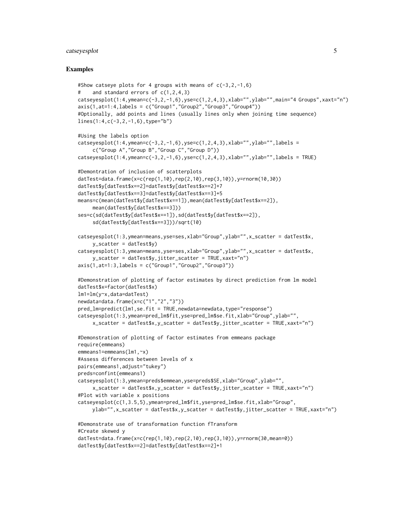#### catseyesplot 5

#### Examples

```
#Show catseye plots for 4 groups with means of c(-3, 2, -1, 6)and standard errors of c(1,2,4,3)catseyesplot(1:4,ymean=c(-3,2,-1,6),yse=c(1,2,4,3),xlab="",ylab="",main="4 Groups",xaxt="n")
axis(1,at=1:4,labels = c("Group1", "Group2", "Group3", "Group4"))#Optionally, add points and lines (usually lines only when joining time sequence)
lines(1:4,c(-3,2,-1,6),type="b")
#Using the labels option
catseyesplot(1:4,ymean=c(-3,2,-1,6),yse=c(1,2,4,3),xlab="",ylab="",labels =
     c("Group A","Group B","Group C","Group D"))
catseyesplot(1:4,ymean=c(-3,2,-1,6),yse=c(1,2,4,3),xlab="",ylab="",labels = TRUE)
#Demontration of inclusion of scatterplots
datTest=data.frame(x=c(rep(1,10),rep(2,10),rep(3,10)),y=rnorm(10,30))
datTest$y[datTest$x==2]=datTest$y[datTest$x==2]+7
datTest$y[datTest$x==3]=datTest$y[datTest$x==3]+5
means=c(mean(datTest$y[datTest$x==1]),mean(datTest$y[datTest$x==2]),
     mean(datTest$y[datTest$x==3]))
ses=c(sd(datTest$y[datTest$x==1]),sd(datTest$y[datTest$x==2]),
     sd(datTest$y[datTest$x==3]))/sqrt(10)
catseyesplot(1:3,ymean=means,yse=ses,xlab="Group",ylab="",x_scatter = datTest$x,
     y_scatter = datTest$y)
catseyesplot(1:3,ymean=means,yse=ses,xlab="Group",ylab="",x_scatter = datTest$x,
    y_scatter = datTest$y,jitter_scatter = TRUE,xaxt="n")
axis(1,at=1:3,labels = c("Group1", "Group2", "Group3"))#Demonstration of plotting of factor estimates by direct prediction from lm model
datTest$x=factor(datTest$x)
lm1=lm(y~x,data=datTest)
newdata=data.frame(x=c("1","2","3"))
pred_lm=predict(lm1,se.fit = TRUE,newdata=newdata,type="response")
catseyesplot(1:3,ymean=pred_lm$fit,yse=pred_lm$se.fit,xlab="Group",ylab="",
     x_scatter = datTest$x,y_scatter = datTest$y,jitter_scatter = TRUE,xaxt="n")
#Demonstration of plotting of factor estimates from emmeans package
require(emmeans)
emmeans1=emmeans(lm1,~x)
#Assess differences between levels of x
pairs(emmeans1,adjust="tukey")
preds=confint(emmeans1)
catseyesplot(1:3,ymean=preds$emmean,yse=preds$SE,xlab="Group",ylab="",
     x_scatter = datTest$x,y_scatter = datTest$y,jitter_scatter = TRUE,xaxt="n")
#Plot with variable x positions
catseyesplot(c(1,3.5,5),ymean=pred_lm$fit,yse=pred_lm$se.fit,xlab="Group",
    ylab="",x_scatter = datTest$x,y_scatter = datTest$y,jitter_scatter = TRUE,xaxt="n")
#Demonstrate use of transformation function fTransform
#Create skewed y
datTest=data.frame(x=c(rep(1,10),rep(2,10),rep(3,10)),y=rnorm(30,mean=0))
datTest$y[datTest$x==2]=datTest$y[datTest$x==2]+1
```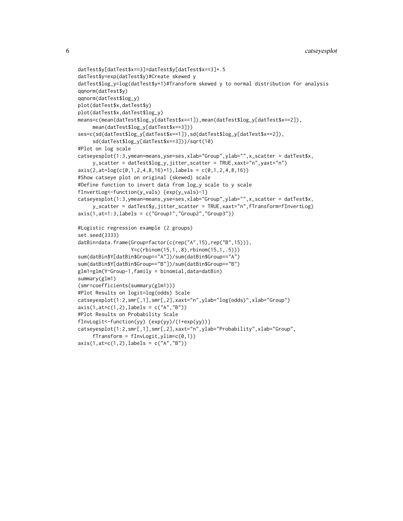```
datTest$y[datTest$x==3]=datTest$y[datTest$x==3]+.5
datTest$y=exp(datTest$y)#Create skewed y
datTest$log_y=log(datTest$y+1)#Transform skewed y to normal distribution for analysis
qqnorm(datTest$y)
qqnorm(datTest$log_y)
plot(datTest$x,datTest$y)
plot(datTest$x,datTest$log_y)
means=c(mean(datTest$log_y[datTest$x==1]),mean(datTest$log_y[datTest$x==2]),
     mean(datTest$log_y[datTest$x==3]))
ses=c(sd(datTest$log_y[datTest$x==1]),sd(datTest$log_y[datTest$x==2]),
     sd(datTest$log_y[datTest$x==3]))/sqrt(10)
#Plot on log scale
catseyesplot(1:3,ymean=means,yse=ses,xlab="Group",ylab="",x_scatter = datTest$x,
     y_scatter = datTest$log_y,jitter_scatter = TRUE,xaxt="n",yaxt="n")
axis(2,at=log(c(0,1,2,4,8,16)+1),labels = c(0,1,2,4,8,16))#Show catseye plot on original (skewed) scale
#Define function to invert data from log_y scale to y scale
fInvertLog<-function(y_vals) {exp(y_vals)-1}
catseyesplot(1:3,ymean=means,yse=ses,xlab="Group",ylab="",x_scatter = datTest$x,
    y_scatter = datTest$y,jitter_scatter = TRUE,xaxt="n",fTransform=fInvertLog)
axis(1,at=1:3,labels = c("Group1","Group2","Group3"))
#Logistic regression example (2 groups)
set.seed(3333)
datBin=data.frame(Group=factor(c(rep("A",15),rep("B",15))),
                  Y=c(rbinom(15,1,.8),rbinom(15,1,.5)))
sum(datBin$Y[datBin$Group=="A"])/sum(datBin$Group=="A")
sum(datBin$Y[datBin$Group=="B"])/sum(datBin$Group=="B")
glm1=glm(Y~Group-1,family = binomial,data=datBin)
summary(glm1)
(smr=coefficients(summary(glm1)))
#Plot Results on logit=log(odds) Scale
catseyesplot(1:2,smr[,1],smr[,2],xaxt="n",ylab="log(odds)",xlab="Group")
axis(1, \text{at} = c(1, 2), \text{labels} = c("A", "B"))#Plot Results on Probability Scale
fInvLogit<-function(yy) {exp(yy)/(1+exp(yy))}
catseyesplot(1:2,smr[,1],smr[,2],xaxt="n",ylab="Probability",xlab="Group",
     fTransform = fInvLogit, ylim=c(0,1))
```

```
axis(1,at=c(1,2),labels = c("A","B"))
```